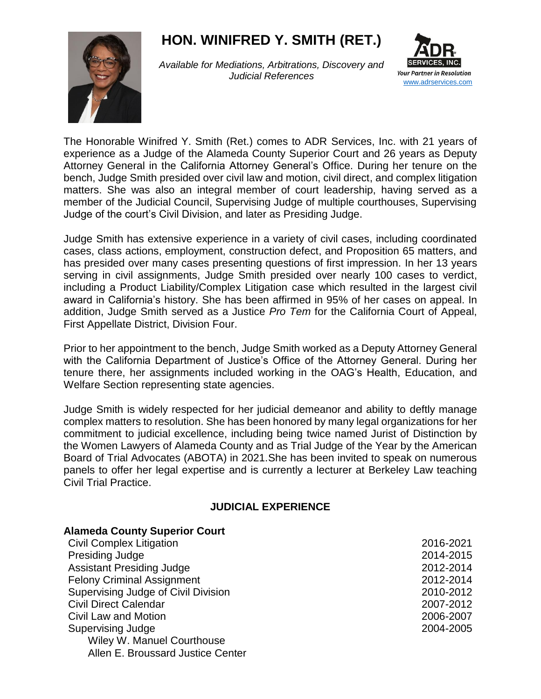# **HON. WINIFRED Y. SMITH (RET.)**



*Available for Mediations, Arbitrations, Discovery and Judicial References*



The Honorable Winifred Y. Smith (Ret.) comes to ADR Services, Inc. with 21 years of experience as a Judge of the Alameda County Superior Court and 26 years as Deputy Attorney General in the California Attorney General's Office. During her tenure on the bench, Judge Smith presided over civil law and motion, civil direct, and complex litigation matters. She was also an integral member of court leadership, having served as a member of the Judicial Council, Supervising Judge of multiple courthouses, Supervising Judge of the court's Civil Division, and later as Presiding Judge.

Judge Smith has extensive experience in a variety of civil cases, including coordinated cases, class actions, employment, construction defect, and Proposition 65 matters, and has presided over many cases presenting questions of first impression. In her 13 years serving in civil assignments, Judge Smith presided over nearly 100 cases to verdict, including a Product Liability/Complex Litigation case which resulted in the largest civil award in California's history. She has been affirmed in 95% of her cases on appeal. In addition, Judge Smith served as a Justice *Pro Tem* for the California Court of Appeal, First Appellate District, Division Four.

Prior to her appointment to the bench, Judge Smith worked as a Deputy Attorney General with the California Department of Justice's Office of the Attorney General. During her tenure there, her assignments included working in the OAG's Health, Education, and Welfare Section representing state agencies.

Judge Smith is widely respected for her judicial demeanor and ability to deftly manage complex matters to resolution. She has been honored by many legal organizations for her commitment to judicial excellence, including being twice named Jurist of Distinction by the Women Lawyers of Alameda County and as Trial Judge of the Year by the American Board of Trial Advocates (ABOTA) in 2021.She has been invited to speak on numerous panels to offer her legal expertise and is currently a lecturer at Berkeley Law teaching Civil Trial Practice.

## **JUDICIAL EXPERIENCE**

| <b>Alameda County Superior Court</b> |           |
|--------------------------------------|-----------|
| <b>Civil Complex Litigation</b>      | 2016-2021 |
| <b>Presiding Judge</b>               | 2014-2015 |
| <b>Assistant Presiding Judge</b>     | 2012-2014 |
| <b>Felony Criminal Assignment</b>    | 2012-2014 |
| Supervising Judge of Civil Division  | 2010-2012 |
| <b>Civil Direct Calendar</b>         | 2007-2012 |
| Civil Law and Motion                 | 2006-2007 |
| <b>Supervising Judge</b>             | 2004-2005 |
| Wiley W. Manuel Courthouse           |           |
| Allen E. Broussard Justice Center    |           |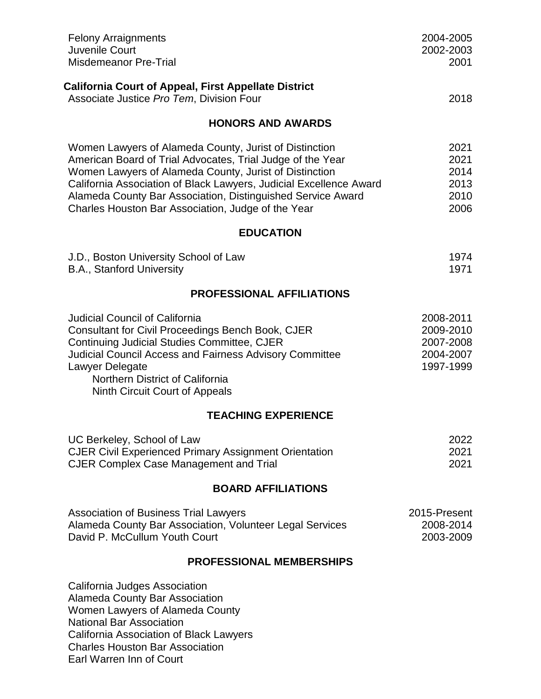| <b>Felony Arraignments</b><br>Juvenile Court<br><b>Misdemeanor Pre-Trial</b>                                                                                                                                                                                                                                                                                              | 2004-2005<br>2002-2003<br>2001                                |  |
|---------------------------------------------------------------------------------------------------------------------------------------------------------------------------------------------------------------------------------------------------------------------------------------------------------------------------------------------------------------------------|---------------------------------------------------------------|--|
| <b>California Court of Appeal, First Appellate District</b><br>Associate Justice Pro Tem, Division Four                                                                                                                                                                                                                                                                   | 2018                                                          |  |
| <b>HONORS AND AWARDS</b>                                                                                                                                                                                                                                                                                                                                                  |                                                               |  |
| Women Lawyers of Alameda County, Jurist of Distinction<br>American Board of Trial Advocates, Trial Judge of the Year<br>Women Lawyers of Alameda County, Jurist of Distinction<br>California Association of Black Lawyers, Judicial Excellence Award<br>Alameda County Bar Association, Distinguished Service Award<br>Charles Houston Bar Association, Judge of the Year | 2021<br>2021<br>2014<br>2013<br>2010<br>2006                  |  |
| <b>EDUCATION</b>                                                                                                                                                                                                                                                                                                                                                          |                                                               |  |
| J.D., Boston University School of Law<br>B.A., Stanford University                                                                                                                                                                                                                                                                                                        | 1974<br>1971                                                  |  |
| <b>PROFESSIONAL AFFILIATIONS</b>                                                                                                                                                                                                                                                                                                                                          |                                                               |  |
| <b>Judicial Council of California</b><br><b>Consultant for Civil Proceedings Bench Book, CJER</b><br>Continuing Judicial Studies Committee, CJER<br><b>Judicial Council Access and Fairness Advisory Committee</b><br>Lawyer Delegate<br>Northern District of California<br>Ninth Circuit Court of Appeals                                                                | 2008-2011<br>2009-2010<br>2007-2008<br>2004-2007<br>1997-1999 |  |
| <b>TEACHING EXPERIENCE</b>                                                                                                                                                                                                                                                                                                                                                |                                                               |  |
| UC Berkeley, School of Law<br><b>CJER Civil Experienced Primary Assignment Orientation</b><br><b>CJER Complex Case Management and Trial</b>                                                                                                                                                                                                                               | 2022<br>2021<br>2021                                          |  |
| <b>BOARD AFFILIATIONS</b>                                                                                                                                                                                                                                                                                                                                                 |                                                               |  |
| <b>Association of Business Trial Lawyers</b><br>Alameda County Bar Association, Volunteer Legal Services<br>David P. McCullum Youth Court                                                                                                                                                                                                                                 | 2015-Present<br>2008-2014<br>2003-2009                        |  |
| <b>PROFESSIONAL MEMBERSHIPS</b>                                                                                                                                                                                                                                                                                                                                           |                                                               |  |
| California Judges Association<br><b>Alameda County Bar Association</b><br>Women Lawyers of Alameda County<br><b>National Bar Association</b><br>California Association of Black Lawyers<br><b>Charles Houston Bar Association</b><br>Earl Warren Inn of Court                                                                                                             |                                                               |  |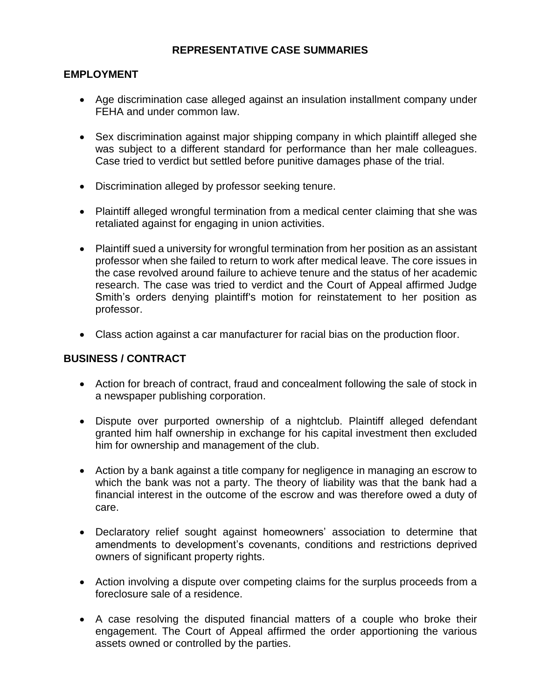# **REPRESENTATIVE CASE SUMMARIES**

## **EMPLOYMENT**

- Age discrimination case alleged against an insulation installment company under FEHA and under common law.
- Sex discrimination against major shipping company in which plaintiff alleged she was subject to a different standard for performance than her male colleagues. Case tried to verdict but settled before punitive damages phase of the trial.
- Discrimination alleged by professor seeking tenure.
- Plaintiff alleged wrongful termination from a medical center claiming that she was retaliated against for engaging in union activities.
- Plaintiff sued a university for wrongful termination from her position as an assistant professor when she failed to return to work after medical leave. The core issues in the case revolved around failure to achieve tenure and the status of her academic research. The case was tried to verdict and the Court of Appeal affirmed Judge Smith's orders denying plaintiff's motion for reinstatement to her position as professor.
- Class action against a car manufacturer for racial bias on the production floor.

## **BUSINESS / CONTRACT**

- Action for breach of contract, fraud and concealment following the sale of stock in a newspaper publishing corporation.
- Dispute over purported ownership of a nightclub. Plaintiff alleged defendant granted him half ownership in exchange for his capital investment then excluded him for ownership and management of the club.
- Action by a bank against a title company for negligence in managing an escrow to which the bank was not a party. The theory of liability was that the bank had a financial interest in the outcome of the escrow and was therefore owed a duty of care.
- Declaratory relief sought against homeowners' association to determine that amendments to development's covenants, conditions and restrictions deprived owners of significant property rights.
- Action involving a dispute over competing claims for the surplus proceeds from a foreclosure sale of a residence.
- A case resolving the disputed financial matters of a couple who broke their engagement. The Court of Appeal affirmed the order apportioning the various assets owned or controlled by the parties.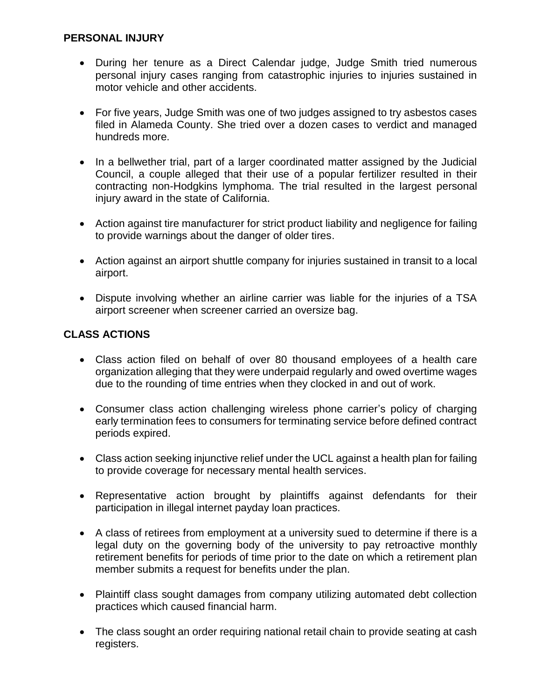## **PERSONAL INJURY**

- During her tenure as a Direct Calendar judge, Judge Smith tried numerous personal injury cases ranging from catastrophic injuries to injuries sustained in motor vehicle and other accidents.
- For five years, Judge Smith was one of two judges assigned to try asbestos cases filed in Alameda County. She tried over a dozen cases to verdict and managed hundreds more.
- In a bellwether trial, part of a larger coordinated matter assigned by the Judicial Council, a couple alleged that their use of a popular fertilizer resulted in their contracting non-Hodgkins lymphoma. The trial resulted in the largest personal injury award in the state of California.
- Action against tire manufacturer for strict product liability and negligence for failing to provide warnings about the danger of older tires.
- Action against an airport shuttle company for injuries sustained in transit to a local airport.
- Dispute involving whether an airline carrier was liable for the injuries of a TSA airport screener when screener carried an oversize bag.

# **CLASS ACTIONS**

- Class action filed on behalf of over 80 thousand employees of a health care organization alleging that they were underpaid regularly and owed overtime wages due to the rounding of time entries when they clocked in and out of work.
- Consumer class action challenging wireless phone carrier's policy of charging early termination fees to consumers for terminating service before defined contract periods expired.
- Class action seeking injunctive relief under the UCL against a health plan for failing to provide coverage for necessary mental health services.
- Representative action brought by plaintiffs against defendants for their participation in illegal internet payday loan practices.
- A class of retirees from employment at a university sued to determine if there is a legal duty on the governing body of the university to pay retroactive monthly retirement benefits for periods of time prior to the date on which a retirement plan member submits a request for benefits under the plan.
- Plaintiff class sought damages from company utilizing automated debt collection practices which caused financial harm.
- The class sought an order requiring national retail chain to provide seating at cash registers.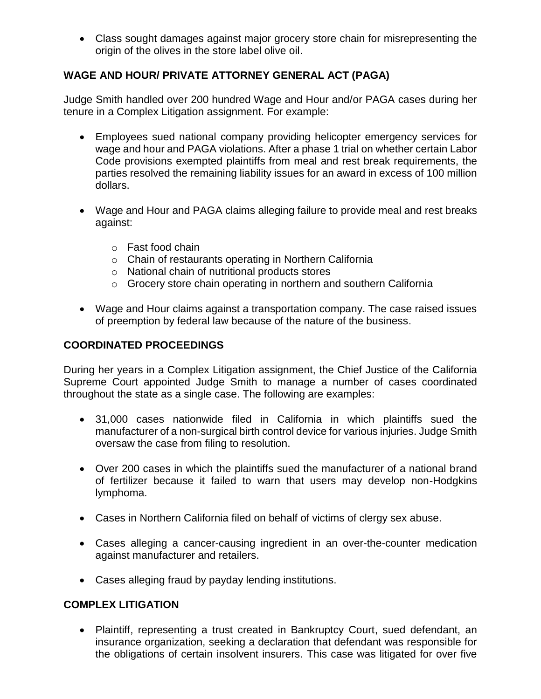Class sought damages against major grocery store chain for misrepresenting the origin of the olives in the store label olive oil.

# **WAGE AND HOUR/ PRIVATE ATTORNEY GENERAL ACT (PAGA)**

Judge Smith handled over 200 hundred Wage and Hour and/or PAGA cases during her tenure in a Complex Litigation assignment. For example:

- Employees sued national company providing helicopter emergency services for wage and hour and PAGA violations. After a phase 1 trial on whether certain Labor Code provisions exempted plaintiffs from meal and rest break requirements, the parties resolved the remaining liability issues for an award in excess of 100 million dollars.
- Wage and Hour and PAGA claims alleging failure to provide meal and rest breaks against:
	- o Fast food chain
	- o Chain of restaurants operating in Northern California
	- o National chain of nutritional products stores
	- o Grocery store chain operating in northern and southern California
- Wage and Hour claims against a transportation company. The case raised issues of preemption by federal law because of the nature of the business.

# **COORDINATED PROCEEDINGS**

During her years in a Complex Litigation assignment, the Chief Justice of the California Supreme Court appointed Judge Smith to manage a number of cases coordinated throughout the state as a single case. The following are examples:

- 31,000 cases nationwide filed in California in which plaintiffs sued the manufacturer of a non-surgical birth control device for various injuries. Judge Smith oversaw the case from filing to resolution.
- Over 200 cases in which the plaintiffs sued the manufacturer of a national brand of fertilizer because it failed to warn that users may develop non-Hodgkins lymphoma.
- Cases in Northern California filed on behalf of victims of clergy sex abuse.
- Cases alleging a cancer-causing ingredient in an over-the-counter medication against manufacturer and retailers.
- Cases alleging fraud by payday lending institutions.

# **COMPLEX LITIGATION**

 Plaintiff, representing a trust created in Bankruptcy Court, sued defendant, an insurance organization, seeking a declaration that defendant was responsible for the obligations of certain insolvent insurers. This case was litigated for over five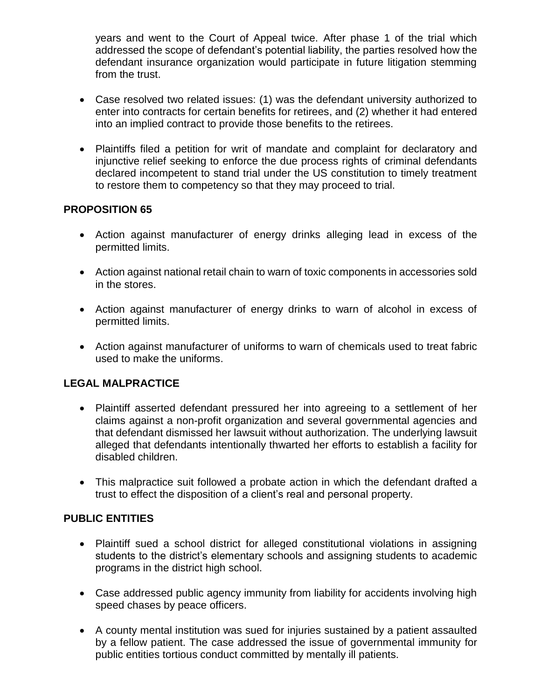years and went to the Court of Appeal twice. After phase 1 of the trial which addressed the scope of defendant's potential liability, the parties resolved how the defendant insurance organization would participate in future litigation stemming from the trust.

- Case resolved two related issues: (1) was the defendant university authorized to enter into contracts for certain benefits for retirees, and (2) whether it had entered into an implied contract to provide those benefits to the retirees.
- Plaintiffs filed a petition for writ of mandate and complaint for declaratory and injunctive relief seeking to enforce the due process rights of criminal defendants declared incompetent to stand trial under the US constitution to timely treatment to restore them to competency so that they may proceed to trial.

## **PROPOSITION 65**

- Action against manufacturer of energy drinks alleging lead in excess of the permitted limits.
- Action against national retail chain to warn of toxic components in accessories sold in the stores.
- Action against manufacturer of energy drinks to warn of alcohol in excess of permitted limits.
- Action against manufacturer of uniforms to warn of chemicals used to treat fabric used to make the uniforms.

## **LEGAL MALPRACTICE**

- Plaintiff asserted defendant pressured her into agreeing to a settlement of her claims against a non-profit organization and several governmental agencies and that defendant dismissed her lawsuit without authorization. The underlying lawsuit alleged that defendants intentionally thwarted her efforts to establish a facility for disabled children.
- This malpractice suit followed a probate action in which the defendant drafted a trust to effect the disposition of a client's real and personal property.

## **PUBLIC ENTITIES**

- Plaintiff sued a school district for alleged constitutional violations in assigning students to the district's elementary schools and assigning students to academic programs in the district high school.
- Case addressed public agency immunity from liability for accidents involving high speed chases by peace officers.
- A county mental institution was sued for injuries sustained by a patient assaulted by a fellow patient. The case addressed the issue of governmental immunity for public entities tortious conduct committed by mentally ill patients.